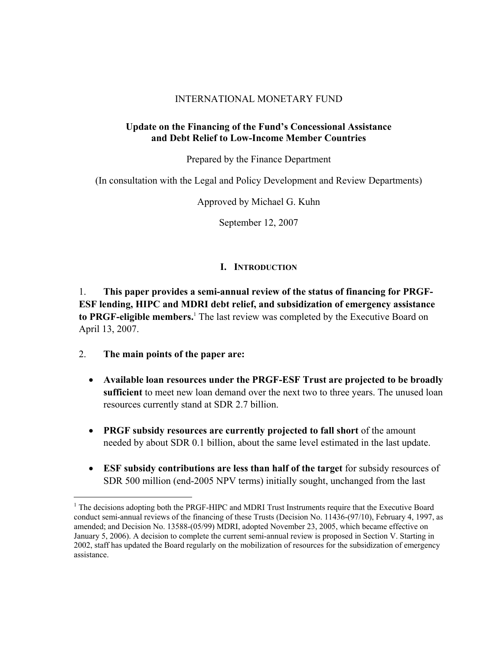## INTERNATIONAL MONETARY FUND

## **Update on the Financing of the Fund's Concessional Assistance and Debt Relief to Low-Income Member Countries**

Prepared by the Finance Department

(In consultation with the Legal and Policy Development and Review Departments)

Approved by Michael G. Kuhn

September 12, 2007

# **I. INTRODUCTION**

1. **This paper provides a semi-annual review of the status of financing for PRGF-ESF lending, HIPC and MDRI debt relief, and subsidization of emergency assistance to PRGF-eligible members.**<sup>1</sup> The last review was completed by the Executive Board on April 13, 2007.

2. **The main points of the paper are:**

- **Available loan resources under the PRGF-ESF Trust are projected to be broadly sufficient** to meet new loan demand over the next two to three years. The unused loan resources currently stand at SDR 2.7 billion.
- **PRGF subsidy resources are currently projected to fall short** of the amount needed by about SDR 0.1 billion, about the same level estimated in the last update.
- **ESF subsidy contributions are less than half of the target** for subsidy resources of SDR 500 million (end-2005 NPV terms) initially sought, unchanged from the last

<sup>&</sup>lt;sup>1</sup> The decisions adopting both the PRGF-HIPC and MDRI Trust Instruments require that the Executive Board conduct semi-annual reviews of the financing of these Trusts (Decision No. 11436-(97/10), February 4, 1997, as amended; and Decision No. 13588-(05/99) MDRI, adopted November 23, 2005, which became effective on January 5, 2006). A decision to complete the current semi-annual review is proposed in Section V. Starting in 2002, staff has updated the Board regularly on the mobilization of resources for the subsidization of emergency assistance.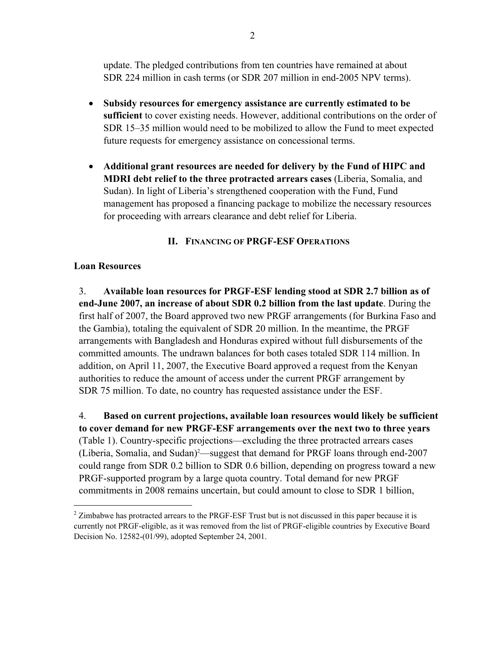update. The pledged contributions from ten countries have remained at about SDR 224 million in cash terms (or SDR 207 million in end-2005 NPV terms).

- **Subsidy resources for emergency assistance are currently estimated to be sufficient** to cover existing needs. However, additional contributions on the order of SDR 15–35 million would need to be mobilized to allow the Fund to meet expected future requests for emergency assistance on concessional terms.
- **Additional grant resources are needed for delivery by the Fund of HIPC and MDRI debt relief to the three protracted arrears cases** (Liberia, Somalia, and Sudan). In light of Liberia's strengthened cooperation with the Fund, Fund management has proposed a financing package to mobilize the necessary resources for proceeding with arrears clearance and debt relief for Liberia.

# **II. FINANCING OF PRGF-ESF OPERATIONS**

## **Loan Resources**

 $\overline{a}$ 

3. **Available loan resources for PRGF-ESF lending stood at SDR 2.7 billion as of end-June 2007, an increase of about SDR 0.2 billion from the last update**. During the first half of 2007, the Board approved two new PRGF arrangements (for Burkina Faso and the Gambia), totaling the equivalent of SDR 20 million. In the meantime, the PRGF arrangements with Bangladesh and Honduras expired without full disbursements of the committed amounts. The undrawn balances for both cases totaled SDR 114 million. In addition, on April 11, 2007, the Executive Board approved a request from the Kenyan authorities to reduce the amount of access under the current PRGF arrangement by SDR 75 million. To date, no country has requested assistance under the ESF.

4. **Based on current projections, available loan resources would likely be sufficient to cover demand for new PRGF-ESF arrangements over the next two to three years**  (Table 1). Country-specific projections—excluding the three protracted arrears cases (Liberia, Somalia, and Sudan)<sup>2</sup>—suggest that demand for PRGF loans through end-2007 could range from SDR 0.2 billion to SDR 0.6 billion, depending on progress toward a new PRGF-supported program by a large quota country. Total demand for new PRGF commitments in 2008 remains uncertain, but could amount to close to SDR 1 billion,

 $2$  Zimbabwe has protracted arrears to the PRGF-ESF Trust but is not discussed in this paper because it is currently not PRGF-eligible, as it was removed from the list of PRGF-eligible countries by Executive Board Decision No. 12582-(01/99), adopted September 24, 2001.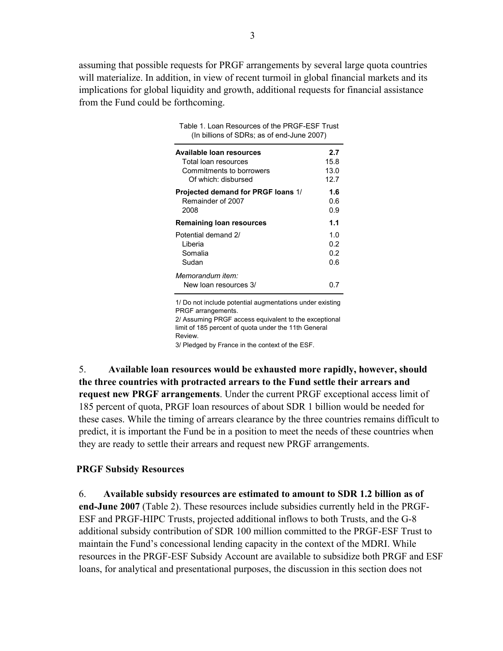assuming that possible requests for PRGF arrangements by several large quota countries will materialize. In addition, in view of recent turmoil in global financial markets and its implications for global liquidity and growth, additional requests for financial assistance from the Fund could be forthcoming.

Table 1. Loan Resources of the PRGF-ESF Trust

| (In billions of SDRs; as of end-June 2007) |      |  |  |
|--------------------------------------------|------|--|--|
| Available Ioan resources                   | 2.7  |  |  |
| Total loan resources                       | 15.8 |  |  |
| Commitments to borrowers                   | 13.0 |  |  |
| Of which: disbursed                        | 12.7 |  |  |
| Projected demand for PRGF loans 1/         | 1.6  |  |  |
| Remainder of 2007                          | 0.6  |  |  |
| 2008                                       | 0.9  |  |  |
| Remaining loan resources                   | 1.1  |  |  |
| Potential demand 2/                        | 1.0  |  |  |
| Liberia                                    | 0.2  |  |  |
| Somalia                                    | 0.2  |  |  |
| Sudan                                      | 0.6  |  |  |
| Memorandum item:<br>New loan resources 3/  | ი ⁊  |  |  |

1/ Do not include potential augmentations under existing PRGF arrangements. 2/ Assuming PRGF access equivalent to the exceptional

limit of 185 percent of quota under the 11th General Review.

3/ Pledged by France in the context of the ESF.

5. **Available loan resources would be exhausted more rapidly, however, should the three countries with protracted arrears to the Fund settle their arrears and request new PRGF arrangements**. Under the current PRGF exceptional access limit of 185 percent of quota, PRGF loan resources of about SDR 1 billion would be needed for these cases. While the timing of arrears clearance by the three countries remains difficult to predict, it is important the Fund be in a position to meet the needs of these countries when they are ready to settle their arrears and request new PRGF arrangements.

#### **PRGF Subsidy Resources**

6. **Available subsidy resources are estimated to amount to SDR 1.2 billion as of end-June 2007** (Table 2). These resources include subsidies currently held in the PRGF-ESF and PRGF-HIPC Trusts, projected additional inflows to both Trusts, and the G-8 additional subsidy contribution of SDR 100 million committed to the PRGF-ESF Trust to maintain the Fund's concessional lending capacity in the context of the MDRI. While resources in the PRGF-ESF Subsidy Account are available to subsidize both PRGF and ESF loans, for analytical and presentational purposes, the discussion in this section does not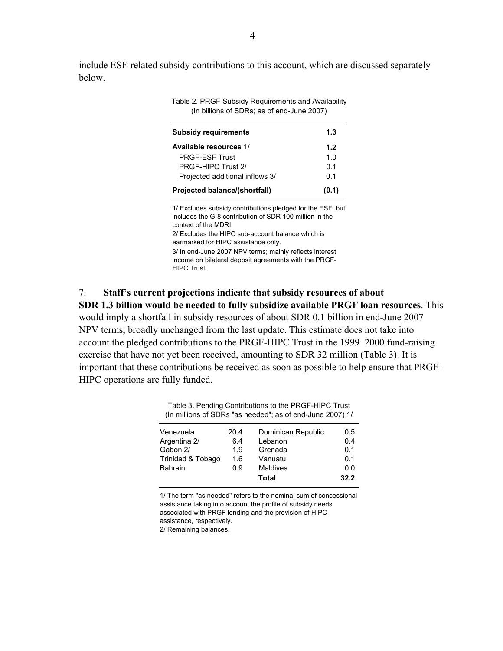include ESF-related subsidy contributions to this account, which are discussed separately below.

> Table 2. PRGF Subsidy Requirements and Availability (In billions of SDRs; as of end-June 2007)

| <b>Subsidy requirements</b>     | 1.3   |
|---------------------------------|-------|
| Available resources 1/          | 1.2   |
| <b>PRGF-FSF Trust</b>           | 1 በ   |
| PRGF-HIPC Trust 2/              | 0.1   |
| Projected additional inflows 3/ | 0.1   |
| Projected balance/(shortfall)   | (0.1) |

1/ Excludes subsidy contributions pledged for the ESF, but includes the G-8 contribution of SDR 100 million in the context of the MDRI. 2/ Excludes the HIPC sub-account balance which is

earmarked for HIPC assistance only. 3/ In end-June 2007 NPV terms; mainly reflects interest income on bilateral deposit agreements with the PRGF-HIPC Trust.

#### 7. **Staff's current projections indicate that subsidy resources of about**

**SDR 1.3 billion would be needed to fully subsidize available PRGF loan resources**. This would imply a shortfall in subsidy resources of about SDR 0.1 billion in end-June 2007 NPV terms, broadly unchanged from the last update. This estimate does not take into account the pledged contributions to the PRGF-HIPC Trust in the 1999–2000 fund-raising exercise that have not yet been received, amounting to SDR 32 million (Table 3). It is important that these contributions be received as soon as possible to help ensure that PRGF-HIPC operations are fully funded.

Table 3. Pending Contributions to the PRGF-HIPC Trust (In millions of SDRs "as needed"; as of end-June 2007) 1/

|                   |      | Total              | 32.2 |
|-------------------|------|--------------------|------|
| <b>Bahrain</b>    | 0.9  | Maldives           | 0.0  |
| Trinidad & Tobago | 1.6  | Vanuatu            | 0.1  |
| Gabon 2/          | 1.9  | Grenada            | 0.1  |
| Argentina 2/      | 6.4  | Lebanon            | 0.4  |
| Venezuela         | 20.4 | Dominican Republic | 0.5  |
|                   |      |                    |      |

1/ The term "as needed" refers to the nominal sum of concessional assistance taking into account the profile of subsidy needs associated with PRGF lending and the provision of HIPC assistance, respectively.

2/ Remaining balances.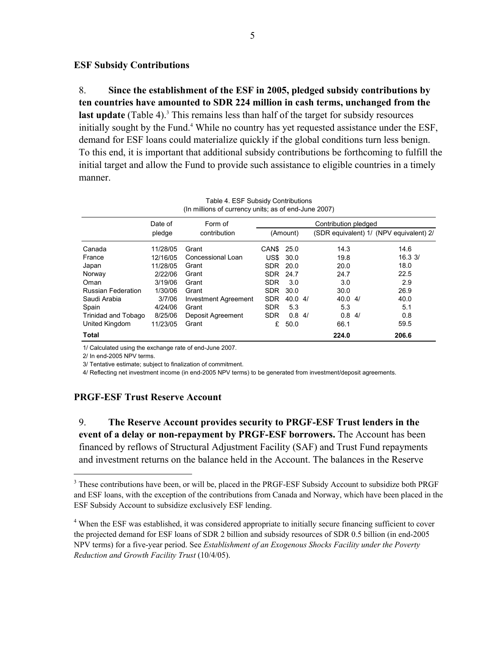#### **ESF Subsidy Contributions**

8. **Since the establishment of the ESF in 2005, pledged subsidy contributions by ten countries have amounted to SDR 224 million in cash terms, unchanged from the**  last update (Table 4).<sup>3</sup> This remains less than half of the target for subsidy resources initially sought by the Fund.<sup>4</sup> While no country has yet requested assistance under the ESF, demand for ESF loans could materialize quickly if the global conditions turn less benign. To this end, it is important that additional subsidy contributions be forthcoming to fulfill the initial target and allow the Fund to provide such assistance to eligible countries in a timely manner.

| (In millions of currency units; as of end-June 2007) |          |                             |            |          |                      |                                         |
|------------------------------------------------------|----------|-----------------------------|------------|----------|----------------------|-----------------------------------------|
|                                                      | Date of  | Form of                     |            |          | Contribution pledged |                                         |
|                                                      | pledge   | contribution                |            | (Amount) |                      | (SDR equivalent) 1/ (NPV equivalent) 2/ |
| Canada                                               | 11/28/05 | Grant                       | CAN\$      | 25.0     | 14.3                 | 14.6                                    |
| France                                               | 12/16/05 | Concessional Loan           | US\$       | 30.0     | 19.8                 | $16.3 \frac{3}{2}$                      |
| Japan                                                | 11/28/05 | Grant                       | SDR.       | 20.0     | 20.0                 | 18.0                                    |
| Norway                                               | 2/22/06  | Grant                       | <b>SDR</b> | 24.7     | 24.7                 | 22.5                                    |
| Oman                                                 | 3/19/06  | Grant                       | <b>SDR</b> | 3.0      | 3.0                  | 2.9                                     |
| <b>Russian Federation</b>                            | 1/30/06  | Grant                       | <b>SDR</b> | 30.0     | 30.0                 | 26.9                                    |
| Saudi Arabia                                         | 3/7/06   | <b>Investment Agreement</b> | <b>SDR</b> | 40.04/   | 40.04/               | 40.0                                    |
| Spain                                                | 4/24/06  | Grant                       | <b>SDR</b> | 5.3      | 5.3                  | 5.1                                     |
| Trinidad and Tobago                                  | 8/25/06  | Deposit Agreement           | <b>SDR</b> | 0.84/    | 0.84/                | 0.8                                     |
| United Kingdom                                       | 11/23/05 | Grant                       | £          | 50.0     | 66.1                 | 59.5                                    |
| Total                                                |          |                             |            |          | 224.0                | 206.6                                   |

| Table 4. ESF Subsidy Contributions                  |  |
|-----------------------------------------------------|--|
| In millions of currency units; as of end-June 2007) |  |

1/ Calculated using the exchange rate of end-June 2007.

2/ In end-2005 NPV terms.

1

3/ Tentative estimate; subject to finalization of commitment.

4/ Reflecting net investment income (in end-2005 NPV terms) to be generated from investment/deposit agreements.

## **PRGF-ESF Trust Reserve Account**

9. **The Reserve Account provides security to PRGF-ESF Trust lenders in the event of a delay or non-repayment by PRGF-ESF borrowers.** The Account has been financed by reflows of Structural Adjustment Facility (SAF) and Trust Fund repayments and investment returns on the balance held in the Account. The balances in the Reserve

<sup>&</sup>lt;sup>3</sup> These contributions have been, or will be, placed in the PRGF-ESF Subsidy Account to subsidize both PRGF and ESF loans, with the exception of the contributions from Canada and Norway, which have been placed in the ESF Subsidy Account to subsidize exclusively ESF lending.

<sup>&</sup>lt;sup>4</sup> When the ESF was established, it was considered appropriate to initially secure financing sufficient to cover the projected demand for ESF loans of SDR 2 billion and subsidy resources of SDR 0.5 billion (in end-2005 NPV terms) for a five-year period. See *Establishment of an Exogenous Shocks Facility under the Poverty Reduction and Growth Facility Trust* (10/4/05).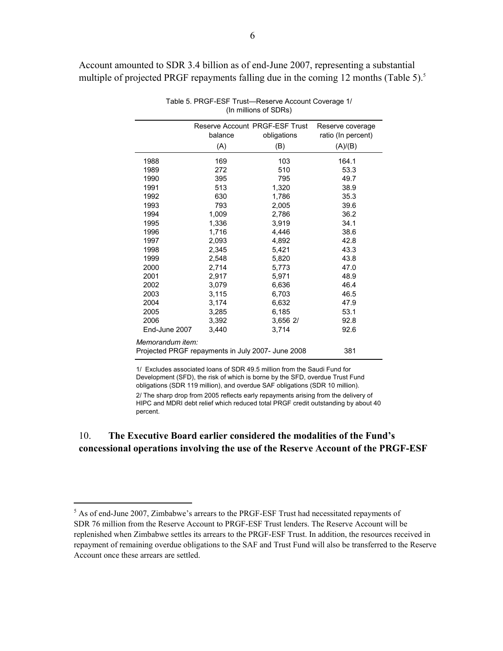Account amounted to SDR 3.4 billion as of end-June 2007, representing a substantial multiple of projected PRGF repayments falling due in the coming 12 months (Table 5).<sup>5</sup>

|                                                          | Reserve Account PRGF-ESF Trust |             | Reserve coverage   |  |
|----------------------------------------------------------|--------------------------------|-------------|--------------------|--|
|                                                          | balance                        | obligations | ratio (In percent) |  |
|                                                          | (A)                            | (B)         | (A)/(B)            |  |
| 1988                                                     | 169                            | 103         | 164.1              |  |
| 1989                                                     | 272                            | 510         | 53.3               |  |
| 1990                                                     | 395                            | 795         | 49.7               |  |
| 1991                                                     | 513                            | 1,320       | 38.9               |  |
| 1992                                                     | 630                            | 1,786       | 35.3               |  |
| 1993                                                     | 793                            | 2.005       | 39.6               |  |
| 1994                                                     | 1,009                          | 2,786       | 36.2               |  |
| 1995                                                     | 1,336                          | 3,919       | 34.1               |  |
| 1996                                                     | 1,716                          | 4.446       | 38.6               |  |
| 1997                                                     | 2,093                          | 4,892       | 42.8               |  |
| 1998                                                     | 2,345                          | 5,421       | 43.3               |  |
| 1999                                                     | 2.548                          | 5,820       | 43.8               |  |
| 2000                                                     | 2.714                          | 5,773       | 47.0               |  |
| 2001                                                     | 2.917                          | 5,971       | 48.9               |  |
| 2002                                                     | 3.079                          | 6,636       | 46.4               |  |
| 2003                                                     | 3,115                          | 6,703       | 46.5               |  |
| 2004                                                     | 3,174                          | 6,632       | 47.9               |  |
| 2005                                                     | 3,285                          | 6,185       | 53.1               |  |
| 2006                                                     | 3,392                          | 3,656 2/    | 92.8               |  |
| End-June 2007                                            | 3,440                          | 3,714       | 92.6               |  |
| Memorandum item:                                         |                                |             |                    |  |
| Projected PRGF repayments in July 2007- June 2008<br>381 |                                |             |                    |  |

Table 5. PRGF-ESF Trust—Reserve Account Coverage 1/ (In millions of SDRs)

1/ Excludes associated loans of SDR 49.5 million from the Saudi Fund for Development (SFD), the risk of which is borne by the SFD, overdue Trust Fund obligations (SDR 119 million), and overdue SAF obligations (SDR 10 million). 2/ The sharp drop from 2005 reflects early repayments arising from the delivery of HIPC and MDRI debt relief which reduced total PRGF credit outstanding by about 40 percent.

## 10. **The Executive Board earlier considered the modalities of the Fund's concessional operations involving the use of the Reserve Account of the PRGF-ESF**

<sup>&</sup>lt;sup>5</sup> As of end-June 2007, Zimbabwe's arrears to the PRGF-ESF Trust had necessitated repayments of SDR 76 million from the Reserve Account to PRGF-ESF Trust lenders. The Reserve Account will be replenished when Zimbabwe settles its arrears to the PRGF-ESF Trust. In addition, the resources received in repayment of remaining overdue obligations to the SAF and Trust Fund will also be transferred to the Reserve Account once these arrears are settled.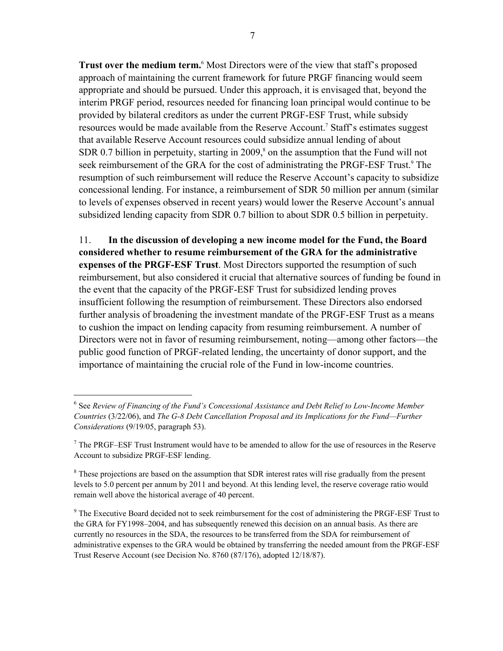**Trust over the medium term.**<sup>6</sup> Most Directors were of the view that staff's proposed approach of maintaining the current framework for future PRGF financing would seem appropriate and should be pursued. Under this approach, it is envisaged that, beyond the interim PRGF period, resources needed for financing loan principal would continue to be provided by bilateral creditors as under the current PRGF-ESF Trust, while subsidy resources would be made available from the Reserve Account.<sup>7</sup> Staff's estimates suggest that available Reserve Account resources could subsidize annual lending of about SDR 0.7 billion in perpetuity, starting in  $2009$ ,<sup>8</sup> on the assumption that the Fund will not seek reimbursement of the GRA for the cost of administrating the PRGF-ESF Trust.<sup>9</sup> The resumption of such reimbursement will reduce the Reserve Account's capacity to subsidize concessional lending. For instance, a reimbursement of SDR 50 million per annum (similar to levels of expenses observed in recent years) would lower the Reserve Account's annual subsidized lending capacity from SDR 0.7 billion to about SDR 0.5 billion in perpetuity.

11. **In the discussion of developing a new income model for the Fund, the Board considered whether to resume reimbursement of the GRA for the administrative expenses of the PRGF-ESF Trust**. Most Directors supported the resumption of such reimbursement, but also considered it crucial that alternative sources of funding be found in the event that the capacity of the PRGF-ESF Trust for subsidized lending proves insufficient following the resumption of reimbursement. These Directors also endorsed further analysis of broadening the investment mandate of the PRGF-ESF Trust as a means to cushion the impact on lending capacity from resuming reimbursement. A number of Directors were not in favor of resuming reimbursement, noting—among other factors—the public good function of PRGF-related lending, the uncertainty of donor support, and the importance of maintaining the crucial role of the Fund in low-income countries.

<sup>6</sup> See *Review of Financing of the Fund's Concessional Assistance and Debt Relief to Low-Income Member Countries* (3/22/06), and *The G-8 Debt Cancellation Proposal and its Implications for the Fund—Further Considerations* (9/19/05, paragraph 53).

 $<sup>7</sup>$  The PRGF–ESF Trust Instrument would have to be amended to allow for the use of resources in the Reserve</sup> Account to subsidize PRGF-ESF lending.

<sup>&</sup>lt;sup>8</sup> These projections are based on the assumption that SDR interest rates will rise gradually from the present levels to 5.0 percent per annum by 2011 and beyond. At this lending level, the reserve coverage ratio would remain well above the historical average of 40 percent.

<sup>&</sup>lt;sup>9</sup> The Executive Board decided not to seek reimbursement for the cost of administering the PRGF-ESF Trust to the GRA for FY1998–2004, and has subsequently renewed this decision on an annual basis. As there are currently no resources in the SDA, the resources to be transferred from the SDA for reimbursement of administrative expenses to the GRA would be obtained by transferring the needed amount from the PRGF-ESF Trust Reserve Account (see Decision No. 8760 (87/176), adopted 12/18/87).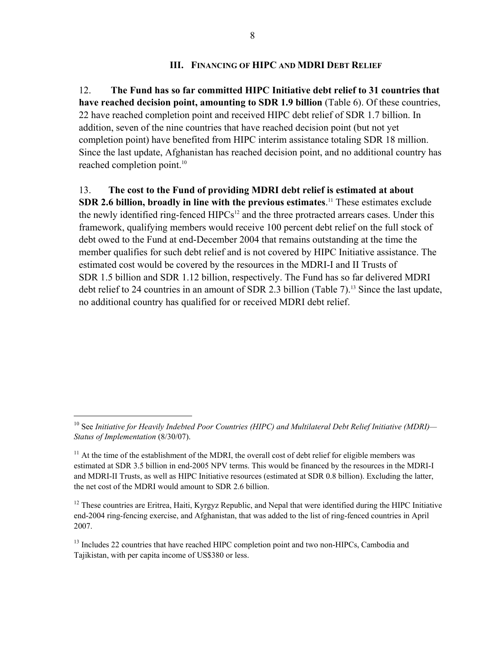#### **III. FINANCING OF HIPC AND MDRI DEBT RELIEF**

12. **The Fund has so far committed HIPC Initiative debt relief to 31 countries that have reached decision point, amounting to SDR 1.9 billion** (Table 6). Of these countries, 22 have reached completion point and received HIPC debt relief of SDR 1.7 billion. In addition, seven of the nine countries that have reached decision point (but not yet completion point) have benefited from HIPC interim assistance totaling SDR 18 million. Since the last update, Afghanistan has reached decision point, and no additional country has reached completion point.<sup>10</sup>

### 13. **The cost to the Fund of providing MDRI debt relief is estimated at about**

**SDR 2.6 billion, broadly in line with the previous estimates.**<sup>11</sup> These estimates exclude the newly identified ring-fenced  $HIPCs<sup>12</sup>$  and the three protracted arrears cases. Under this framework, qualifying members would receive 100 percent debt relief on the full stock of debt owed to the Fund at end-December 2004 that remains outstanding at the time the member qualifies for such debt relief and is not covered by HIPC Initiative assistance. The estimated cost would be covered by the resources in the MDRI-I and II Trusts of SDR 1.5 billion and SDR 1.12 billion, respectively. The Fund has so far delivered MDRI debt relief to 24 countries in an amount of SDR 2.3 billion (Table 7).<sup>13</sup> Since the last update, no additional country has qualified for or received MDRI debt relief.

1

<sup>10</sup> See *Initiative for Heavily Indebted Poor Countries (HIPC) and Multilateral Debt Relief Initiative (MDRI)— Status of Implementation* (8/30/07).

 $11$  At the time of the establishment of the MDRI, the overall cost of debt relief for eligible members was estimated at SDR 3.5 billion in end-2005 NPV terms. This would be financed by the resources in the MDRI-I and MDRI-II Trusts, as well as HIPC Initiative resources (estimated at SDR 0.8 billion). Excluding the latter, the net cost of the MDRI would amount to SDR 2.6 billion.

 $12$  These countries are Eritrea, Haiti, Kyrgyz Republic, and Nepal that were identified during the HIPC Initiative end-2004 ring-fencing exercise, and Afghanistan, that was added to the list of ring-fenced countries in April 2007.

<sup>&</sup>lt;sup>13</sup> Includes 22 countries that have reached HIPC completion point and two non-HIPCs, Cambodia and Tajikistan, with per capita income of US\$380 or less.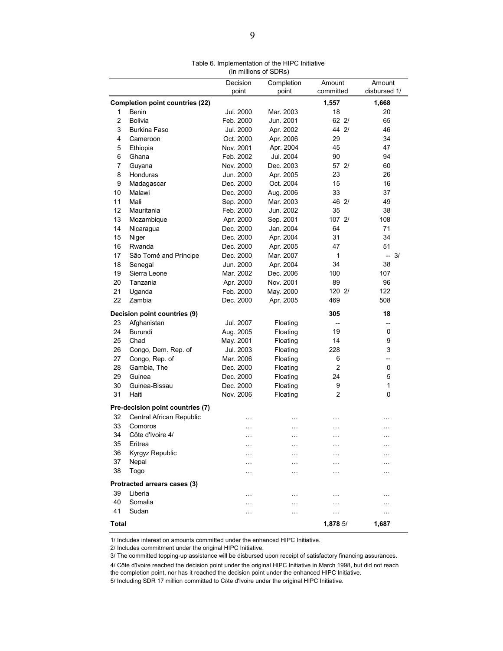|                |                                        | נברושט וט פווטווווווווווון ( |            |                          |              |
|----------------|----------------------------------------|------------------------------|------------|--------------------------|--------------|
|                |                                        | Decision                     | Completion | Amount                   | Amount       |
|                |                                        | point                        | point      | committed                | disbursed 1/ |
|                | <b>Completion point countries (22)</b> |                              |            | 1,557                    | 1,668        |
| 1              | Benin                                  | Jul. 2000                    | Mar. 2003  | 18                       | 20           |
| $\overline{2}$ | <b>Bolivia</b>                         | Feb. 2000                    | Jun. 2001  | 622/                     | 65           |
| 3              | <b>Burkina Faso</b>                    | Jul. 2000                    | Apr. 2002  | 44 2/                    | 46           |
| 4              | Cameroon                               | Oct. 2000                    | Apr. 2006  | 29                       | 34           |
| 5              | Ethiopia                               | Nov. 2001                    | Apr. 2004  | 45                       | 47           |
| 6              | Ghana                                  | Feb. 2002                    | Jul. 2004  | 90                       | 94           |
| $\overline{7}$ | Guyana                                 | Nov. 2000                    | Dec. 2003  | 57 2/                    | 60           |
| 8              | Honduras                               | Jun. 2000                    | Apr. 2005  | 23                       | 26           |
| 9              | Madagascar                             | Dec. 2000                    | Oct. 2004  | 15                       | 16           |
| 10             | Malawi                                 | Dec. 2000                    | Aug. 2006  | 33                       | 37           |
| 11             | Mali                                   | Sep. 2000                    | Mar. 2003  | 46 2/                    | 49           |
| 12             | Mauritania                             | Feb. 2000                    | Jun. 2002  | 35                       | 38           |
| 13             | Mozambique                             | Apr. 2000                    | Sep. 2001  | 107 2/                   | 108          |
| 14             | Nicaragua                              | Dec. 2000                    | Jan. 2004  | 64                       | 71           |
| 15             | Niger                                  | Dec. 2000                    | Apr. 2004  | 31                       | 34           |
| 16             | Rwanda                                 | Dec. 2000                    | Apr. 2005  | 47                       | 51           |
| 17             | São Tomé and Príncipe                  | Dec. 2000                    | Mar. 2007  | 1                        | $-3/$        |
| 18             | Senegal                                | Jun. 2000                    | Apr. 2004  | 34                       | 38           |
| 19             | Sierra Leone                           | Mar. 2002                    | Dec. 2006  | 100                      | 107          |
| 20             | Tanzania                               | Apr. 2000                    | Nov. 2001  | 89                       | 96           |
| 21             | Uganda                                 | Feb. 2000                    | May. 2000  | 120 2/                   | 122          |
| 22             | Zambia                                 | Dec. 2000                    | Apr. 2005  | 469                      | 508          |
|                | Decision point countries (9)           |                              |            | 305                      | 18           |
| 23             | Afghanistan                            | Jul. 2007                    | Floating   | $\overline{\phantom{0}}$ |              |
| 24             | Burundi                                | Aug. 2005                    | Floating   | 19                       | 0            |
| 25             | Chad                                   | May. 2001                    | Floating   | 14                       | 9            |
| 26             | Congo, Dem. Rep. of                    | Jul. 2003                    | Floating   | 228                      | 3            |
| 27             | Congo, Rep. of                         | Mar. 2006                    | Floating   | 6                        | --           |
| 28             | Gambia, The                            | Dec. 2000                    | Floating   | $\overline{2}$           | 0            |
| 29             | Guinea                                 | Dec. 2000                    | Floating   | 24                       | 5            |
| 30             | Guinea-Bissau                          | Dec. 2000                    | Floating   | 9                        | 1            |
| 31             | Haiti                                  | Nov. 2006                    | Floating   | 2                        | 0            |
|                | Pre-decision point countries (7)       |                              |            |                          |              |
| 32             | Central African Republic               |                              |            |                          |              |
| 33             | Comoros                                | .                            | .          | $\cdots$                 | $\cdots$     |
| 34             | Côte d'Ivoire 4/                       | $\ddotsc$                    | $\cdots$   | $\ddotsc$                | .            |
|                |                                        | .                            | .          | .                        | $\cdots$     |
| 35<br>36       | Eritrea                                | $\cdots$                     |            | .                        | .            |
| 37             | Kyrgyz Republic<br>Nepal               | $\cdots$                     | $\cdots$   | .                        | .            |
| 38             |                                        |                              | .          | .                        |              |
|                | Togo                                   |                              | $\cdots$   | .                        | .            |
|                | Protracted arrears cases (3)           |                              |            |                          |              |
| 39             | Liberia                                | .                            |            | .                        |              |
| 40             | Somalia                                | $\cdots$                     | $\cdots$   | $\cdots$                 | .            |
| 41             | Sudan                                  |                              | .          | $\ddotsc$                | .            |
| Total          |                                        |                              |            | 1,8785/                  | 1,687        |

1/ Includes interest on amounts committed under the enhanced HIPC Initiative.

2/ Includes commitment under the original HIPC Initiative.

3/ The committed topping-up assistance will be disbursed upon receipt of satisfactory financing assurances.

4/ Côte d'Ivoire reached the decision point under the original HIPC Initiative in March 1998, but did not reach the completion point, nor has it reached the decision point under the enhanced HIPC Initiative.

5/ Including SDR 17 million committed to Côte d'Ivoire under the original HIPC Initiative.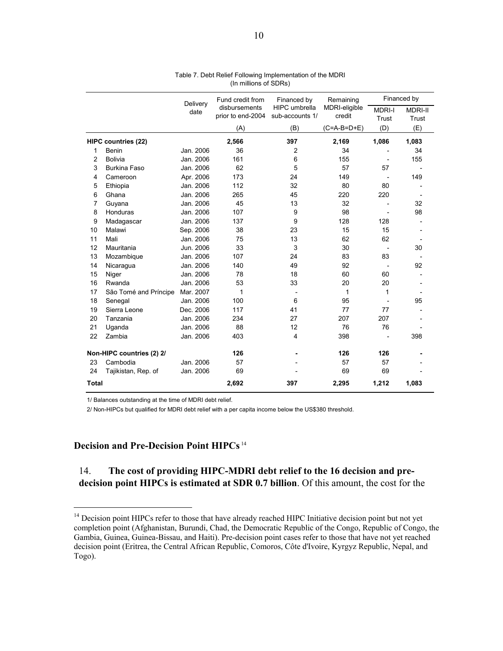|                |                            | Delivery  | Fund credit from                   | Financed by                             | Remaining               |                          | Financed by    |
|----------------|----------------------------|-----------|------------------------------------|-----------------------------------------|-------------------------|--------------------------|----------------|
|                |                            | date      | disbursements<br>prior to end-2004 | <b>HIPC</b> umbrella<br>sub-accounts 1/ | MDRI-eligible<br>credit | <b>MDRI-I</b>            | <b>MDRI-II</b> |
|                |                            |           | (A)                                | (B)                                     | (C=A-B=D+E)             | Trust<br>(D)             | Trust          |
|                |                            |           |                                    |                                         |                         |                          | (E)            |
|                | <b>HIPC countries (22)</b> |           | 2,566                              | 397                                     | 2,169                   | 1,086                    | 1,083          |
| 1              | Benin                      | Jan. 2006 | 36                                 | 2                                       | 34                      |                          | 34             |
| $\overline{2}$ | Bolivia                    | Jan. 2006 | 161                                | 6                                       | 155                     | $\overline{\phantom{a}}$ | 155            |
| 3              | <b>Burkina Faso</b>        | Jan. 2006 | 62                                 | 5                                       | 57                      | 57                       |                |
| 4              | Cameroon                   | Apr. 2006 | 173                                | 24                                      | 149                     |                          | 149            |
| 5              | Ethiopia                   | Jan. 2006 | 112                                | 32                                      | 80                      | 80                       |                |
| 6              | Ghana                      | Jan. 2006 | 265                                | 45                                      | 220                     | 220                      |                |
| 7              | Guyana                     | Jan. 2006 | 45                                 | 13                                      | 32                      | $\overline{\phantom{0}}$ | 32             |
| 8              | Honduras                   | Jan. 2006 | 107                                | 9                                       | 98                      | $\overline{\phantom{a}}$ | 98             |
| 9              | Madagascar                 | Jan. 2006 | 137                                | 9                                       | 128                     | 128                      |                |
| 10             | Malawi                     | Sep. 2006 | 38                                 | 23                                      | 15                      | 15                       |                |
| 11             | Mali                       | Jan. 2006 | 75                                 | 13                                      | 62                      | 62                       |                |
| 12             | Mauritania                 | Jun. 2006 | 33                                 | 3                                       | 30                      |                          | 30             |
| 13             | Mozambique                 | Jan. 2006 | 107                                | 24                                      | 83                      | 83                       |                |
| 14             | Nicaragua                  | Jan. 2006 | 140                                | 49                                      | 92                      |                          | 92             |
| 15             | Niger                      | Jan. 2006 | 78                                 | 18                                      | 60                      | 60                       |                |
| 16             | Rwanda                     | Jan. 2006 | 53                                 | 33                                      | 20                      | 20                       |                |
| 17             | São Tomé and Príncipe      | Mar. 2007 | 1                                  | $\overline{\phantom{0}}$                | 1                       | 1                        |                |
| 18             | Senegal                    | Jan. 2006 | 100                                | 6                                       | 95                      |                          | 95             |
| 19             | Sierra Leone               | Dec. 2006 | 117                                | 41                                      | 77                      | 77                       |                |
| 20             | Tanzania                   | Jan. 2006 | 234                                | 27                                      | 207                     | 207                      |                |
| 21             | Uganda                     | Jan. 2006 | 88                                 | 12                                      | 76                      | 76                       |                |
| 22             | Zambia                     | Jan. 2006 | 403                                | $\overline{4}$                          | 398                     |                          | 398            |
|                | Non-HIPC countries (2) 2/  |           | 126                                |                                         | 126                     | 126                      |                |
| 23             | Cambodia                   | Jan. 2006 | 57                                 |                                         | 57                      | 57                       |                |
| 24             | Tajikistan, Rep. of        | Jan. 2006 | 69                                 |                                         | 69                      | 69                       |                |
| <b>Total</b>   |                            |           | 2,692                              | 397                                     | 2,295                   | 1,212                    | 1,083          |

| Table 7. Debt Relief Following Implementation of the MDRI |                       |  |  |
|-----------------------------------------------------------|-----------------------|--|--|
|                                                           | (In millions of SDRs) |  |  |

1/ Balances outstanding at the time of MDRI debt relief.

2/ Non-HIPCs but qualified for MDRI debt relief with a per capita income below the US\$380 threshold.

#### **Decision and Pre-Decision Point HIPCs**<sup>14</sup>

 $\overline{a}$ 

## 14. **The cost of providing HIPC-MDRI debt relief to the 16 decision and predecision point HIPCs is estimated at SDR 0.7 billion**. Of this amount, the cost for the

<sup>&</sup>lt;sup>14</sup> Decision point HIPCs refer to those that have already reached HIPC Initiative decision point but not yet completion point (Afghanistan, Burundi, Chad, the Democratic Republic of the Congo, Republic of Congo, the Gambia, Guinea, Guinea-Bissau, and Haiti). Pre-decision point cases refer to those that have not yet reached decision point (Eritrea, the Central African Republic, Comoros, Côte d'Ivoire, Kyrgyz Republic, Nepal, and Togo).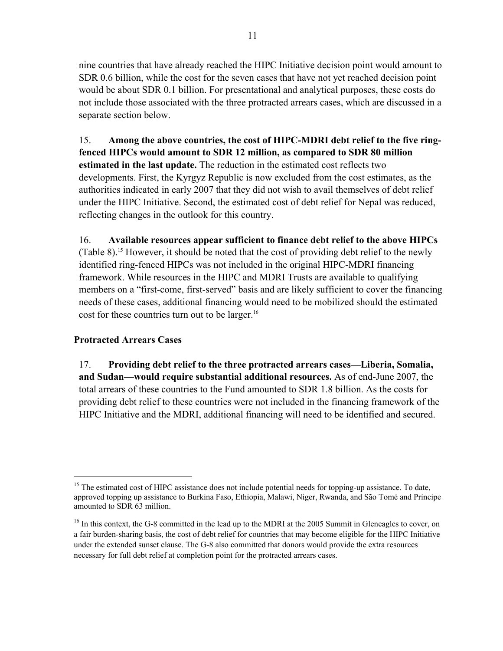nine countries that have already reached the HIPC Initiative decision point would amount to SDR 0.6 billion, while the cost for the seven cases that have not yet reached decision point would be about SDR 0.1 billion. For presentational and analytical purposes, these costs do not include those associated with the three protracted arrears cases, which are discussed in a separate section below.

15. **Among the above countries, the cost of HIPC-MDRI debt relief to the five ringfenced HIPCs would amount to SDR 12 million, as compared to SDR 80 million estimated in the last update.** The reduction in the estimated cost reflects two developments. First, the Kyrgyz Republic is now excluded from the cost estimates, as the authorities indicated in early 2007 that they did not wish to avail themselves of debt relief under the HIPC Initiative. Second, the estimated cost of debt relief for Nepal was reduced, reflecting changes in the outlook for this country.

16. **Available resources appear sufficient to finance debt relief to the above HIPCs** (Table 8).15 However, it should be noted that the cost of providing debt relief to the newly identified ring-fenced HIPCs was not included in the original HIPC-MDRI financing framework. While resources in the HIPC and MDRI Trusts are available to qualifying members on a "first-come, first-served" basis and are likely sufficient to cover the financing needs of these cases, additional financing would need to be mobilized should the estimated cost for these countries turn out to be larger.<sup>16</sup>

# **Protracted Arrears Cases**

 $\overline{a}$ 

17. **Providing debt relief to the three protracted arrears cases—Liberia, Somalia, and Sudan—would require substantial additional resources.** As of end-June 2007, the total arrears of these countries to the Fund amounted to SDR 1.8 billion. As the costs for providing debt relief to these countries were not included in the financing framework of the HIPC Initiative and the MDRI, additional financing will need to be identified and secured.

<sup>&</sup>lt;sup>15</sup> The estimated cost of HIPC assistance does not include potential needs for topping-up assistance. To date, approved topping up assistance to Burkina Faso, Ethiopia, Malawi, Niger, Rwanda, and São Tomé and Príncipe amounted to SDR 63 million.

<sup>&</sup>lt;sup>16</sup> In this context, the G-8 committed in the lead up to the MDRI at the 2005 Summit in Gleneagles to cover, on a fair burden-sharing basis, the cost of debt relief for countries that may become eligible for the HIPC Initiative under the extended sunset clause. The G-8 also committed that donors would provide the extra resources necessary for full debt relief at completion point for the protracted arrears cases.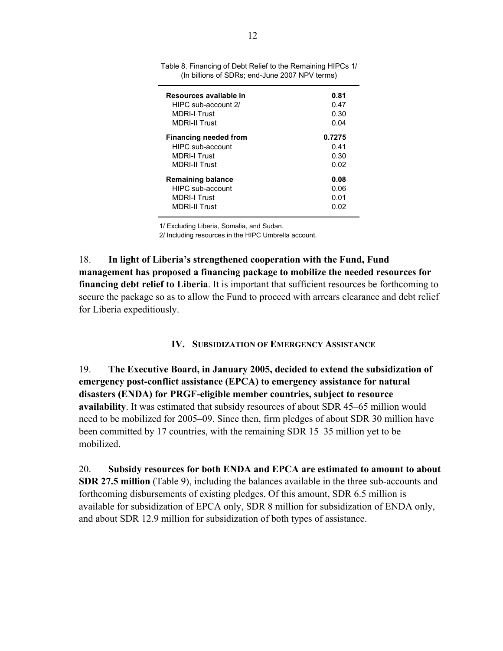| Resources available in       | 0.81   |
|------------------------------|--------|
| HIPC sub-account 2/          | 0.47   |
| <b>MDRI-I Trust</b>          | 0.30   |
| <b>MDRI-II Trust</b>         | 0.04   |
| <b>Financing needed from</b> | 0.7275 |
| HIPC sub-account             | 0.41   |
| <b>MDRI-I Trust</b>          | 0.30   |
| <b>MDRI-II Trust</b>         | 0.02   |
| <b>Remaining balance</b>     | 0.08   |
| <b>HIPC</b> sub-account      | 0.06   |
| <b>MDRI-I Trust</b>          | 0.01   |
| <b>MDRI-II Trust</b>         | 0.02   |

Table 8. Financing of Debt Relief to the Remaining HIPCs 1/ (In billions of SDRs; end-June 2007 NPV terms)

1/ Excluding Liberia, Somalia, and Sudan.

2/ Including resources in the HIPC Umbrella account.

18. **In light of Liberia's strengthened cooperation with the Fund, Fund management has proposed a financing package to mobilize the needed resources for financing debt relief to Liberia**. It is important that sufficient resources be forthcoming to secure the package so as to allow the Fund to proceed with arrears clearance and debt relief for Liberia expeditiously.

**IV. SUBSIDIZATION OF EMERGENCY ASSISTANCE**

19. **The Executive Board, in January 2005, decided to extend the subsidization of emergency post-conflict assistance (EPCA) to emergency assistance for natural disasters (ENDA) for PRGF-eligible member countries, subject to resource availability**. It was estimated that subsidy resources of about SDR 45–65 million would need to be mobilized for 2005–09. Since then, firm pledges of about SDR 30 million have been committed by 17 countries, with the remaining SDR 15–35 million yet to be mobilized.

20. **Subsidy resources for both ENDA and EPCA are estimated to amount to about SDR 27.5 million** (Table 9), including the balances available in the three sub-accounts and forthcoming disbursements of existing pledges. Of this amount, SDR 6.5 million is available for subsidization of EPCA only, SDR 8 million for subsidization of ENDA only, and about SDR 12.9 million for subsidization of both types of assistance.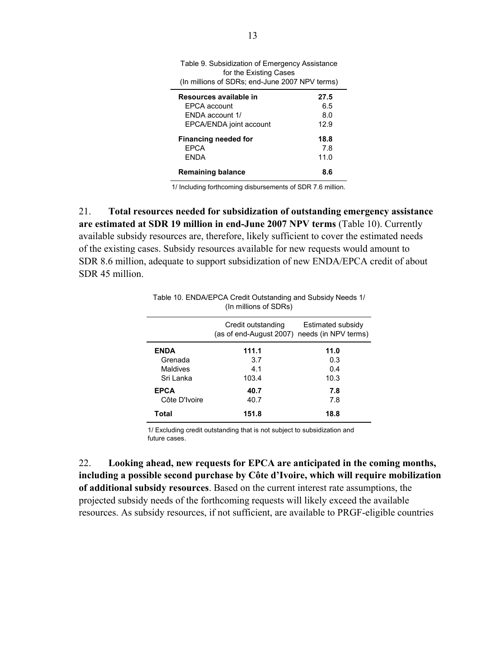| for the Existing Cases<br>(In millions of SDRs; end-June 2007 NPV terms) |      |  |  |  |
|--------------------------------------------------------------------------|------|--|--|--|
| Resources available in                                                   | 27.5 |  |  |  |
| EPCA account                                                             | 6.5  |  |  |  |
| <b>FNDA</b> account 1/                                                   | 8.0  |  |  |  |
| EPCA/ENDA joint account                                                  | 12.9 |  |  |  |
| Financing needed for                                                     | 18.8 |  |  |  |
| <b>EPCA</b>                                                              | 7.8  |  |  |  |
| <b>FNDA</b>                                                              | 11.0 |  |  |  |
| Remaining balance                                                        | 8.6  |  |  |  |
|                                                                          |      |  |  |  |

1/ Including forthcoming disbursements of SDR 7.6 million.

21. **Total resources needed for subsidization of outstanding emergency assistance are estimated at SDR 19 million in end-June 2007 NPV terms** (Table 10). Currently available subsidy resources are, therefore, likely sufficient to cover the estimated needs of the existing cases. Subsidy resources available for new requests would amount to SDR 8.6 million, adequate to support subsidization of new ENDA/EPCA credit of about SDR 45 million.

|                 | Credit outstanding<br>(as of end-August 2007) needs (in NPV terms) | Estimated subsidy |
|-----------------|--------------------------------------------------------------------|-------------------|
| <b>ENDA</b>     | 111.1                                                              | 11.0              |
| Grenada         | 3.7                                                                | 0.3               |
| <b>Maldives</b> | 4.1                                                                | 0.4               |
| Sri Lanka       | 103.4                                                              | 10.3              |
| <b>EPCA</b>     | 40.7                                                               | 7.8               |
| Côte D'Ivoire   | 40.7                                                               | 7.8               |
| Total           | 151.8                                                              | 18.8              |

Table 10. ENDA/EPCA Credit Outstanding and Subsidy Needs 1/ (In millions of SDRs)

1/ Excluding credit outstanding that is not subject to subsidization and future cases.

22. **Looking ahead, new requests for EPCA are anticipated in the coming months, including a possible second purchase by Côte d'Ivoire, which will require mobilization of additional subsidy resources**. Based on the current interest rate assumptions, the projected subsidy needs of the forthcoming requests will likely exceed the available resources. As subsidy resources, if not sufficient, are available to PRGF-eligible countries

Table 9. Subsidization of Emergency Assistance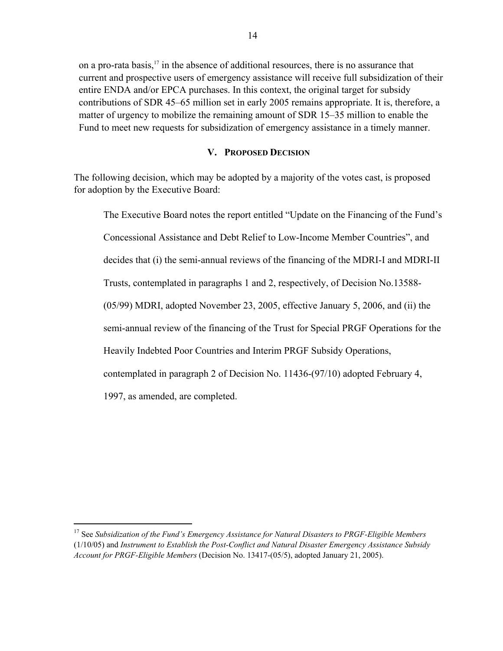on a pro-rata basis,17 in the absence of additional resources, there is no assurance that current and prospective users of emergency assistance will receive full subsidization of their entire ENDA and/or EPCA purchases. In this context, the original target for subsidy contributions of SDR 45–65 million set in early 2005 remains appropriate. It is, therefore, a matter of urgency to mobilize the remaining amount of SDR 15–35 million to enable the Fund to meet new requests for subsidization of emergency assistance in a timely manner.

#### **V. PROPOSED DECISION**

The following decision, which may be adopted by a majority of the votes cast, is proposed for adoption by the Executive Board:

The Executive Board notes the report entitled "Update on the Financing of the Fund's Concessional Assistance and Debt Relief to Low-Income Member Countries", and decides that (i) the semi-annual reviews of the financing of the MDRI-I and MDRI-II Trusts, contemplated in paragraphs 1 and 2, respectively, of Decision No.13588- (05/99) MDRI, adopted November 23, 2005, effective January 5, 2006, and (ii) the semi-annual review of the financing of the Trust for Special PRGF Operations for the Heavily Indebted Poor Countries and Interim PRGF Subsidy Operations, contemplated in paragraph 2 of Decision No. 11436-(97/10) adopted February 4, 1997, as amended, are completed.

<sup>17</sup> See *Subsidization of the Fund's Emergency Assistance for Natural Disasters to PRGF-Eligible Members*  (1/10/05) and *Instrument to Establish the Post-Conflict and Natural Disaster Emergency Assistance Subsidy Account for PRGF-Eligible Members* (Decision No. 13417-(05/5), adopted January 21, 2005).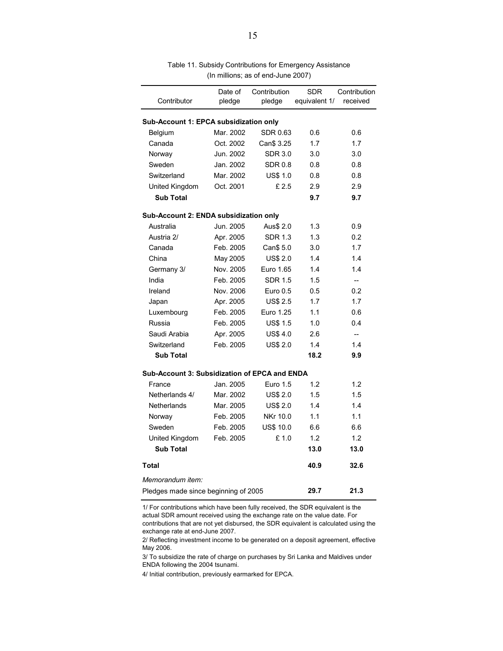| Contributor                                   | Date of<br>pledge | Contribution<br>pledge | <b>SDR</b><br>equivalent 1/ | Contribution<br>received |
|-----------------------------------------------|-------------------|------------------------|-----------------------------|--------------------------|
|                                               |                   |                        |                             |                          |
| Sub-Account 1: EPCA subsidization only        |                   |                        |                             |                          |
| Belgium                                       | Mar. 2002         | SDR 0.63               | 0.6                         | 0.6                      |
| Canada                                        | Oct. 2002         | Can\$ 3.25             | 1.7                         | 1.7                      |
| Norway                                        | Jun. 2002         | <b>SDR 3.0</b>         | 3.0                         | 3.0                      |
| Sweden                                        | Jan. 2002         | <b>SDR 0.8</b>         | 0.8                         | 0.8                      |
| Switzerland                                   | Mar. 2002         | <b>US\$ 1.0</b>        | 0.8                         | 0.8                      |
| United Kingdom                                | Oct. 2001         | £2.5                   | 2.9                         | 2.9                      |
| <b>Sub Total</b>                              |                   |                        | 9.7                         | 9.7                      |
| Sub-Account 2: ENDA subsidization only        |                   |                        |                             |                          |
| Australia                                     | Jun. 2005         | Aus\$ 2.0              | 1.3                         | 0.9                      |
| Austria 2/                                    | Apr. 2005         | <b>SDR 1.3</b>         | 1.3                         | 0.2                      |
| Canada                                        | Feb. 2005         | Can\$ 5.0              | 3.0                         | 1.7                      |
| China                                         | May 2005          | <b>US\$ 2.0</b>        | 1.4                         | 1.4                      |
| Germany 3/                                    | Nov. 2005         | Euro 1.65              | 1.4                         | 1.4                      |
| India                                         | Feb. 2005         | SDR 1.5                | 1.5                         | $\overline{\phantom{a}}$ |
| Ireland                                       | Nov. 2006         | Euro $0.5$             | 0.5                         | 0.2                      |
| Japan                                         | Apr. 2005         | <b>US\$ 2.5</b>        | 1.7                         | 1.7                      |
| Luxembourg                                    | Feb. 2005         | Euro 1.25              | 1.1                         | 0.6                      |
| Russia                                        | Feb. 2005         | <b>US\$ 1.5</b>        | 1.0                         | 0.4                      |
| Saudi Arabia                                  | Apr. 2005         | <b>US\$4.0</b>         | 2.6                         | $\overline{a}$           |
| Switzerland                                   | Feb. 2005         | <b>US\$ 2.0</b>        | 1.4                         | 1.4                      |
| <b>Sub Total</b>                              |                   |                        | 18.2                        | 9.9                      |
| Sub-Account 3: Subsidization of EPCA and ENDA |                   |                        |                             |                          |
| France                                        | Jan. 2005         | Euro 1.5               | 1.2                         | 1.2                      |
| Netherlands 4/                                | Mar. 2002         | <b>US\$ 2.0</b>        | 1.5                         | 1.5                      |
| <b>Netherlands</b>                            | Mar. 2005         | <b>US\$ 2.0</b>        | 1.4                         | 1.4                      |
| Norway                                        | Feb. 2005         | NKr 10.0               | 1.1                         | 1.1                      |
| Sweden                                        | Feb. 2005         | <b>US\$ 10.0</b>       | 6.6                         | 6.6                      |
| United Kingdom                                | Feb. 2005         | £1.0                   | 1.2                         | 1.2                      |
| <b>Sub Total</b>                              |                   |                        | 13.0                        | 13.0                     |
| <b>Total</b>                                  |                   |                        | 40.9                        | 32.6                     |
| Memorandum item:                              |                   |                        |                             |                          |
| Pledges made since beginning of 2005          |                   |                        | 29.7                        | 21.3                     |

Table 11. Subsidy Contributions for Emergency Assistance (In millions; as of end-June 2007)

1/ For contributions which have been fully received, the SDR equivalent is the actual SDR amount received using the exchange rate on the value date. For contributions that are not yet disbursed, the SDR equivalent is calculated using the exchange rate at end-June 2007.

3/ To subsidize the rate of charge on purchases by Sri Lanka and Maldives under ENDA following the 2004 tsunami.

4/ Initial contribution, previously earmarked for EPCA.

<sup>2/</sup> Reflecting investment income to be generated on a deposit agreement, effective May 2006.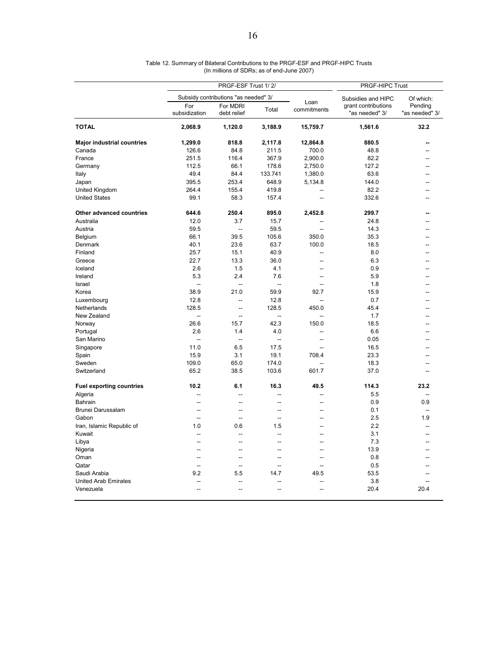|                                   | PRGF-ESF Trust 1/2/  |                                      |                          |                          | PRGF-HIPC Trust                       |                           |  |
|-----------------------------------|----------------------|--------------------------------------|--------------------------|--------------------------|---------------------------------------|---------------------------|--|
|                                   |                      | Subsidy contributions "as needed" 3/ |                          |                          | Subsidies and HIPC                    | Of which:                 |  |
|                                   | For<br>subsidization | For MDRI<br>debt relief              | Total                    | Loan<br>commitments      | grant contributions<br>"as needed" 3/ | Pending<br>"as needed" 3/ |  |
| <b>TOTAL</b>                      | 2,068.9              | 1,120.0                              | 3,188.9                  | 15,759.7                 | 1,561.6                               | 32.2                      |  |
| <b>Major industrial countries</b> | 1,299.0              | 818.8                                | 2,117.8                  | 12,864.8                 | 880.5                                 |                           |  |
| Canada                            | 126.6                | 84.8                                 | 211.5                    | 700.0                    | 48.8                                  |                           |  |
| France                            | 251.5                | 116.4                                | 367.9                    | 2,900.0                  | 82.2                                  | --                        |  |
| Germany                           | 112.5                | 66.1                                 | 178.6                    | 2,750.0                  | 127.2                                 | --                        |  |
| Italy                             | 49.4                 | 84.4                                 | 133.741                  | 1,380.0                  | 63.6                                  |                           |  |
| Japan                             | 395.5                | 253.4                                | 648.9                    | 5,134.8                  | 144.0                                 |                           |  |
| United Kingdom                    | 264.4                | 155.4                                | 419.8                    |                          | 82.2                                  |                           |  |
| <b>United States</b>              | 99.1                 | 58.3                                 | 157.4                    | --                       | 332.6                                 |                           |  |
| Other advanced countries          | 644.6                | 250.4                                | 895.0                    | 2,452.8                  | 299.7                                 |                           |  |
| Australia                         | 12.0                 | 3.7                                  | 15.7                     |                          | 24.8                                  |                           |  |
| Austria                           | 59.5                 | $\overline{a}$                       | 59.5                     | $\overline{\phantom{a}}$ | 14.3                                  |                           |  |
| Belgium                           | 66.1                 | 39.5                                 | 105.6                    | 350.0                    | 35.3                                  |                           |  |
| Denmark                           | 40.1                 | 23.6                                 | 63.7                     | 100.0                    | 18.5                                  |                           |  |
| Finland                           | 25.7                 | 15.1                                 | 40.9                     | --                       | 8.0                                   |                           |  |
| Greece                            | 22.7                 | 13.3                                 | 36.0                     | $\overline{a}$           | 6.3                                   |                           |  |
| Iceland                           | 2.6                  | 1.5                                  | 4.1                      | ä.                       | 0.9                                   |                           |  |
| Ireland                           | 5.3                  | 2.4                                  | 7.6                      | --                       | 5.9                                   |                           |  |
| Israel                            | Щ,                   | L.                                   | $\overline{\phantom{a}}$ | $\overline{a}$           | 1.8                                   |                           |  |
| Korea                             | 38.9                 | 21.0                                 | 59.9                     | 92.7                     | 15.9                                  |                           |  |
| Luxembourg                        | 12.8                 | $\overline{a}$                       | 12.8                     | -−                       | 0.7                                   |                           |  |
| Netherlands                       | 128.5                | $\overline{a}$                       | 128.5                    | 450.0                    | 45.4                                  |                           |  |
| New Zealand                       | $\overline{a}$       | ÷.                                   | $\sim$                   | $\overline{\phantom{a}}$ | 1.7                                   |                           |  |
|                                   | 26.6                 | 15.7                                 | 42.3                     | 150.0                    | 18.5                                  |                           |  |
| Norway                            |                      |                                      |                          |                          |                                       |                           |  |
| Portugal                          | 2.6                  | 1.4                                  | 4.0                      | $\overline{a}$           | 6.6                                   |                           |  |
| San Marino                        | μ.                   | $\overline{\phantom{a}}$             | $\overline{\phantom{a}}$ | --                       | 0.05                                  |                           |  |
| Singapore                         | 11.0                 | 6.5                                  | 17.5                     | -−                       | 16.5                                  |                           |  |
| Spain                             | 15.9                 | 3.1                                  | 19.1                     | 708.4                    | 23.3                                  |                           |  |
| Sweden                            | 109.0                | 65.0                                 | 174.0                    |                          | 18.3                                  |                           |  |
| Switzerland                       | 65.2                 | 38.5                                 | 103.6                    | 601.7                    | 37.0                                  | --                        |  |
| <b>Fuel exporting countries</b>   | 10.2                 | 6.1                                  | 16.3                     | 49.5                     | 114.3                                 | 23.2                      |  |
| Algeria                           | $\sim$               |                                      | 44                       | ۰.                       | 5.5                                   |                           |  |
| Bahrain                           | Ξ.                   | Ξ.                                   | Ξ.                       |                          | 0.9                                   | 0.9                       |  |
| Brunei Darussalam                 | $\sim$               | $\sim$                               | $\overline{a}$           | $\overline{a}$           | 0.1                                   | $\sim$                    |  |
| Gabon                             | Ξ.                   | $\overline{a}$                       | --                       | $\overline{a}$           | 2.5                                   | 1.9                       |  |
| Iran, Islamic Republic of         | 1.0                  | 0.6                                  | 1.5                      | $\overline{a}$           | 2.2                                   |                           |  |
| Kuwait                            | $\overline{a}$       | $\overline{a}$                       | $\overline{a}$           | $\overline{a}$           | 3.1                                   |                           |  |
| Libya                             | Ξ.                   |                                      | Ξ.                       |                          | 7.3                                   |                           |  |
| Nigeria                           | $\sim$               | $\sim$                               | $\overline{a}$           | --                       | 13.9                                  | --                        |  |
| Oman                              | $\overline{a}$       | $\overline{a}$                       | $\overline{a}$           | $\overline{a}$           | 0.8                                   |                           |  |
| Qatar                             | -−                   | --                                   | -−                       | --                       | 0.5                                   |                           |  |
| Saudi Arabia                      | 9.2                  | 5.5                                  | 14.7                     | 49.5                     | 53.5                                  |                           |  |
| <b>United Arab Emirates</b>       | $\overline{a}$       |                                      | --                       |                          | 3.8                                   |                           |  |
| Venezuela                         | --                   | Ξ.                                   | Ξ.                       |                          | 20.4                                  | 20.4                      |  |

Table 12. Summary of Bilateral Contributions to the PRGF-ESF and PRGF-HIPC Trusts (In millions of SDRs; as of end-June 2007)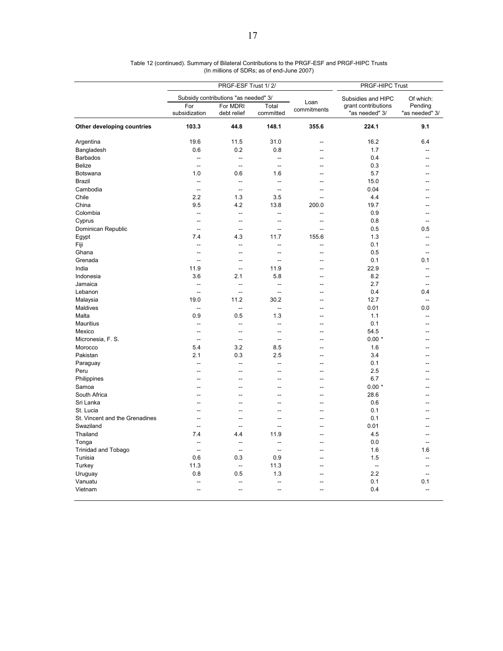|                                | PRGF-ESF Trust 1/2/                  |                         |                          |                     | PRGF-HIPC Trust                       |                           |  |
|--------------------------------|--------------------------------------|-------------------------|--------------------------|---------------------|---------------------------------------|---------------------------|--|
|                                | Subsidy contributions "as needed" 3/ |                         |                          |                     | Subsidies and HIPC                    | Of which:                 |  |
|                                | For<br>subsidization                 | For MDRI<br>debt relief | Total<br>committed       | Loan<br>commitments | grant contributions<br>"as needed" 3/ | Pending<br>"as needed" 3/ |  |
| Other developing countries     | 103.3                                | 44.8                    | 148.1                    | 355.6               | 224.1                                 | 9.1                       |  |
| Argentina                      | 19.6                                 | 11.5                    | 31.0                     | $\overline{a}$      | 16.2                                  | 6.4                       |  |
| Bangladesh                     | 0.6                                  | 0.2                     | 0.8                      | --                  | 1.7                                   |                           |  |
| <b>Barbados</b>                | -−                                   | -−                      | Ξ.                       |                     | 0.4                                   |                           |  |
| <b>Belize</b>                  | $\sim$                               | $\sim$                  | $\sim$                   | $\overline{a}$      | 0.3                                   |                           |  |
| Botswana                       | 1.0                                  | 0.6                     | 1.6                      | --                  | 5.7                                   |                           |  |
| <b>Brazil</b>                  | --                                   | --                      | $\overline{\phantom{a}}$ |                     | 15.0                                  |                           |  |
| Cambodia                       | $\sim$                               | $\sim$                  | ÷.                       | $\overline{a}$      | 0.04                                  |                           |  |
| Chile                          | 2.2                                  | 1.3                     | 3.5                      | --                  | 4.4                                   |                           |  |
| China                          | 9.5                                  | 4.2                     | 13.8                     | 200.0               | 19.7                                  |                           |  |
| Colombia                       | $\sim$                               | $\overline{a}$          | ÷.                       | $\overline{a}$      | 0.9                                   |                           |  |
| Cyprus                         | Ξ.                                   | --                      | ÷.                       | Ξ.                  | 0.8                                   |                           |  |
| Dominican Republic             | $\overline{a}$                       | $\sim$                  | $\sim$                   | $\sim$              | 0.5                                   | 0.5                       |  |
| Egypt                          | 7.4                                  | 4.3                     | 11.7                     | 155.6               | 1.3                                   | $\overline{a}$            |  |
| Fiji                           | --                                   | --                      | μ.                       | Ξ.                  | 0.1                                   | --                        |  |
| Ghana                          | $\overline{a}$                       | $\overline{a}$          | $\overline{a}$           | $\overline{a}$      | 0.5                                   | --                        |  |
| Grenada                        | $\overline{a}$                       | L.                      | L.                       | Ξ.                  | 0.1                                   | 0.1                       |  |
| India                          | 11.9                                 | $\overline{a}$          | 11.9                     | $\sim$              | 22.9                                  | $\sim$                    |  |
| Indonesia                      | 3.6                                  | 2.1                     | 5.8                      | $\overline{a}$      | 8.2                                   | --                        |  |
| Jamaica                        | --                                   | --                      | ц.                       | --                  | 2.7                                   |                           |  |
| Lebanon                        | ÷.                                   | $\overline{a}$          | $\sim$                   | ۰.                  | 0.4                                   | 0.4                       |  |
| Malaysia                       | 19.0                                 | 11.2                    | 30.2                     | $\overline{a}$      | 12.7                                  | $\sim$                    |  |
| Maldives                       | --                                   | $\overline{a}$          | $\overline{a}$           |                     | 0.01                                  | 0.0                       |  |
|                                | 0.9                                  | 0.5                     | 1.3                      | $\overline{a}$      | 1.1                                   |                           |  |
| Malta                          |                                      | $\overline{a}$          | $\sim$                   | $\overline{a}$      | 0.1                                   |                           |  |
| Mauritius                      | --<br>-−                             | --                      | Ξ.                       |                     |                                       |                           |  |
| Mexico                         | $\overline{a}$                       |                         |                          | --                  | 54.5<br>$0.00*$                       |                           |  |
| Micronesia, F. S.              |                                      | -−<br>3.2               | 44<br>8.5                |                     |                                       |                           |  |
| Morocco                        | 5.4                                  |                         |                          | --                  | 1.6                                   |                           |  |
| Pakistan                       | 2.1                                  | 0.3                     | 2.5                      | ц.                  | 3.4                                   |                           |  |
| Paraguay                       | $\overline{a}$                       | $\overline{a}$          | $\sim$                   | --                  | 0.1                                   |                           |  |
| Peru                           | --                                   |                         | $\overline{a}$           | $\overline{a}$      | 2.5                                   |                           |  |
| Philippines                    |                                      |                         | Ξ.                       | --                  | 6.7                                   |                           |  |
| Samoa                          | --                                   |                         | ш.                       | --                  | $0.00*$                               |                           |  |
| South Africa                   | -−                                   | --                      | Ξ.                       | --                  | 28.6                                  |                           |  |
| Sri Lanka                      | Ξ.                                   | Ξ.                      | ÷.                       | Ξ.                  | 0.6                                   |                           |  |
| St. Lucia                      | --                                   | --                      | Ξ.                       | --                  | 0.1                                   |                           |  |
| St. Vincent and the Grenadines | --                                   | -−                      | Ξ.                       | --                  | 0.1                                   |                           |  |
| Swaziland                      | $\sim$                               | $\overline{a}$          | $\sim$                   | $\overline{a}$      | 0.01                                  |                           |  |
| Thailand                       | 7.4                                  | 4.4                     | 11.9                     |                     | 4.5                                   |                           |  |
| Tonga                          | $\overline{a}$                       | $\overline{a}$          | $\overline{\phantom{a}}$ |                     | 0.0                                   |                           |  |
| <b>Trinidad and Tobago</b>     | $\overline{a}$                       | μ.                      | $\overline{a}$           | --                  | 1.6                                   | 1.6                       |  |
| Tunisia                        | 0.6                                  | 0.3                     | 0.9                      | $\overline{a}$      | 1.5                                   |                           |  |
| Turkey                         | 11.3                                 | --                      | 11.3                     |                     | $\overline{\phantom{a}}$              |                           |  |
| Uruguay                        | 0.8                                  | 0.5                     | 1.3                      | $\overline{a}$      | 2.2                                   |                           |  |
| Vanuatu                        |                                      |                         |                          |                     | 0.1                                   | 0.1                       |  |
| Vietnam                        | --                                   | --                      | Ξ.                       |                     | 0.4                                   | $\overline{\phantom{a}}$  |  |

Table 12 (continued). Summary of Bilateral Contributions to the PRGF-ESF and PRGF-HIPC Trusts (In millions of SDRs; as of end-June 2007)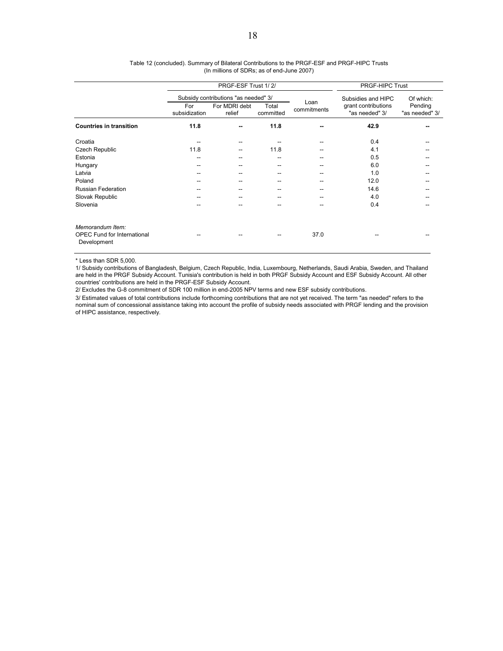|                                                                       |                                      | PRGF-ESF Trust 1/2/     | PRGF-HIPC Trust    |             |                                       |                           |
|-----------------------------------------------------------------------|--------------------------------------|-------------------------|--------------------|-------------|---------------------------------------|---------------------------|
|                                                                       | Subsidy contributions "as needed" 3/ |                         |                    | Loan        | Subsidies and HIPC                    | Of which:                 |
|                                                                       | For<br>subsidization                 | For MDRI debt<br>relief | Total<br>committed | commitments | grant contributions<br>"as needed" 3/ | Pending<br>"as needed" 3/ |
| <b>Countries in transition</b>                                        | 11.8                                 |                         | 11.8               |             | 42.9                                  |                           |
| Croatia                                                               | --                                   |                         |                    |             | 0.4                                   |                           |
| Czech Republic                                                        | 11.8                                 | --                      | 11.8               |             | 4.1                                   |                           |
| Estonia                                                               | --                                   | --                      | --                 |             | 0.5                                   | --                        |
| Hungary                                                               | --                                   | --                      | --                 |             | 6.0                                   |                           |
| Latvia                                                                |                                      |                         | --                 |             | 1.0                                   |                           |
| Poland                                                                | --                                   |                         | --                 |             | 12.0                                  |                           |
| <b>Russian Federation</b>                                             | --                                   |                         | --                 |             | 14.6                                  |                           |
| Slovak Republic                                                       | --                                   |                         | --                 |             | 4.0                                   |                           |
| Slovenia                                                              |                                      |                         |                    |             | 0.4                                   |                           |
| Memorandum Item:<br><b>OPEC Fund for International</b><br>Development |                                      |                         |                    | 37.0        |                                       |                           |

#### (In millions of SDRs; as of end-June 2007) Table 12 (concluded). Summary of Bilateral Contributions to the PRGF-ESF and PRGF-HIPC Trusts

\* Less than SDR 5,000.

1/ Subsidy contributions of Bangladesh, Belgium, Czech Republic, India, Luxembourg, Netherlands, Saudi Arabia, Sweden, and Thailand are held in the PRGF Subsidy Account. Tunisia's contribution is held in both PRGF Subsidy Account and ESF Subsidy Account. All other countries' contributions are held in the PRGF-ESF Subsidy Account.

2/ Excludes the G-8 commitment of SDR 100 million in end-2005 NPV terms and new ESF subsidy contributions.

3/ Estimated values of total contributions include forthcoming contributions that are not yet received. The term "as needed" refers to the nominal sum of concessional assistance taking into account the profile of subsidy needs associated with PRGF lending and the provision of HIPC assistance, respectively.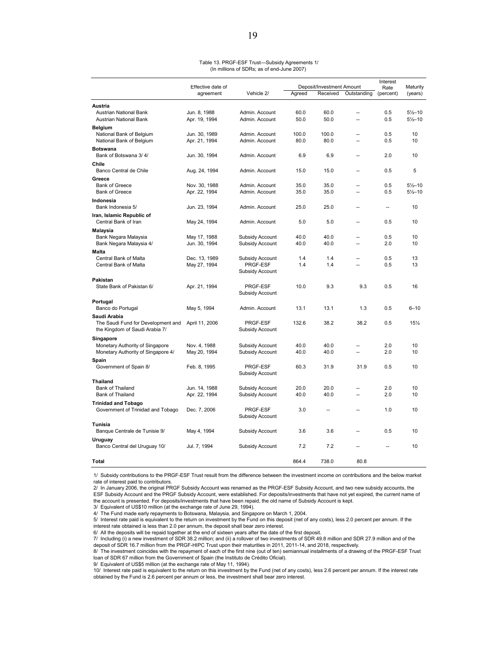| Table 13. PRGF-ESF Trust-Subsidy Agreements 1/ |  |
|------------------------------------------------|--|
| (In millions of SDRs; as of end-June 2007)     |  |

|                                                                       | Effective date of              |                                    |              | Deposit/Investment Amount |                          |                      | Maturity                                   |
|-----------------------------------------------------------------------|--------------------------------|------------------------------------|--------------|---------------------------|--------------------------|----------------------|--------------------------------------------|
|                                                                       | agreement                      | Vehicle 2/                         | Agreed       | Received                  | Outstanding              | Rate<br>(percent)    | (years)                                    |
|                                                                       |                                |                                    |              |                           |                          |                      |                                            |
| Austria<br>Austrian National Bank<br>Austrian National Bank           | Jun. 8, 1988<br>Apr. 19, 1994  | Admin. Account<br>Admin. Account   | 60.0<br>50.0 | 60.0<br>50.0              | Ξ.<br>Ξ.                 | 0.5<br>0.5           | $5\frac{1}{2} - 10$<br>$5\frac{1}{2} - 10$ |
| <b>Belgium</b><br>National Bank of Belgium                            | Jun. 30, 1989                  | Admin. Account                     | 100.0        | 100.0                     | $\overline{a}$           | 0.5                  | 10                                         |
| National Bank of Belgium                                              | Apr. 21, 1994                  | Admin. Account                     | 80.0         | 80.0                      | $\overline{a}$           | 0.5                  | 10                                         |
| <b>Botswana</b><br>Bank of Botswana 3/4/                              | Jun. 30, 1994                  | Admin, Account                     | 6.9          | 6.9                       |                          | 2.0                  | 10                                         |
| Chile                                                                 |                                |                                    |              |                           |                          |                      |                                            |
| Banco Central de Chile                                                | Aug. 24, 1994                  | Admin. Account                     | 15.0         | 15.0                      | ш.                       | 0.5                  | 5                                          |
| Greece<br><b>Bank of Greece</b><br><b>Bank of Greece</b>              | Nov. 30, 1988<br>Apr. 22, 1994 | Admin. Account<br>Admin. Account   | 35.0<br>35.0 | 35.0<br>35.0              | Ξ.                       | 0.5<br>0.5           | $5\frac{1}{2} - 10$<br>$5\frac{1}{2} - 10$ |
| Indonesia                                                             |                                |                                    |              |                           |                          |                      |                                            |
| Bank Indonesia 5/                                                     | Jun. 23, 1994                  | Admin. Account                     | 25.0         | 25.0                      | Ξ.                       | $\ddot{\phantom{1}}$ | 10                                         |
| Iran, Islamic Republic of<br>Central Bank of Iran                     | May 24, 1994                   | Admin. Account                     | 5.0          | 5.0                       | $\overline{a}$           | 0.5                  | 10                                         |
| Malaysia<br>Bank Negara Malaysia                                      | May 17, 1988                   | Subsidy Account                    | 40.0         | 40.0                      |                          | 0.5                  | 10                                         |
| Bank Negara Malaysia 4/                                               | Jun. 30, 1994                  | Subsidy Account                    | 40.0         | 40.0                      | Ξ.                       | 2.0                  | 10                                         |
| Malta                                                                 |                                |                                    |              |                           |                          |                      |                                            |
| Central Bank of Malta<br>Central Bank of Malta                        | Dec. 13, 1989<br>May 27, 1994  | Subsidy Account<br>PRGF-ESF        | 1.4<br>1.4   | 1.4<br>1.4                | $\overline{a}$<br>÷.     | 0.5<br>0.5           | 13<br>13                                   |
|                                                                       |                                | Subsidy Account                    |              |                           |                          |                      |                                            |
| Pakistan                                                              |                                |                                    |              |                           |                          |                      |                                            |
| State Bank of Pakistan 6/                                             | Apr. 21, 1994                  | PRGF-ESF<br>Subsidy Account        | 10.0         | 9.3                       | 9.3                      | 0.5                  | 16                                         |
| Portugal                                                              |                                |                                    |              |                           |                          |                      |                                            |
| Banco do Portugal                                                     | May 5, 1994                    | Admin. Account                     | 13.1         | 13.1                      | 1.3                      | 0.5                  | $6 - 10$                                   |
| Saudi Arabia                                                          |                                |                                    |              |                           |                          |                      |                                            |
| The Saudi Fund for Development and<br>the Kingdom of Saudi Arabia 7/  | April 11, 2006                 | PRGF-ESF<br>Subsidy Account        | 132.6        | 38.2                      | 38.2                     | 0.5                  | 151/2                                      |
| Singapore                                                             |                                |                                    |              |                           |                          |                      |                                            |
| Monetary Authority of Singapore<br>Monetary Authority of Singapore 4/ | Nov. 4, 1988<br>May 20, 1994   | Subsidy Account<br>Subsidy Account | 40.0<br>40.0 | 40.0<br>40.0              | Ξ.                       | 2.0<br>2.0           | 10<br>10                                   |
| Spain<br>Government of Spain 8/                                       | Feb. 8, 1995                   | PRGF-ESF                           | 60.3         | 31.9                      | 31.9                     | 0.5                  | 10                                         |
|                                                                       |                                | Subsidy Account                    |              |                           |                          |                      |                                            |
| Thailand                                                              |                                |                                    |              |                           |                          |                      |                                            |
| Bank of Thailand<br>Bank of Thailand                                  | Jun. 14, 1988<br>Apr. 22, 1994 | Subsidy Account<br>Subsidy Account | 20.0<br>40.0 | 20.0<br>40.0              | $\overline{\phantom{a}}$ | 2.0<br>2.0           | 10<br>10                                   |
| <b>Trinidad and Tobago</b>                                            |                                |                                    |              |                           |                          |                      |                                            |
| Government of Trinidad and Tobago                                     | Dec. 7, 2006                   | PRGF-ESF<br>Subsidy Account        | 3.0          | ц.                        | --                       | 1.0                  | 10                                         |
| Tunisia<br>Banque Centrale de Tunisie 9/                              | May 4, 1994                    | Subsidy Account                    | 3.6          | 3.6                       | $\overline{a}$           | 0.5                  | 10                                         |
| Uruguay                                                               |                                |                                    |              |                           |                          |                      |                                            |
| Banco Central del Uruguay 10/                                         | Jul. 7, 1994                   | Subsidy Account                    | 7.2          | 7.2                       |                          |                      | 10                                         |
| Total                                                                 |                                |                                    | 864.4        | 738.0                     | 80.8                     |                      |                                            |

1/ Subsidy contributions to the PRGF-ESF Trust result from the difference between the investment income on contributions and the below market rate of interest paid to contributors.

2/ In January 2006, the original PRGF Subsidy Account was renamed as the PRGF-ESF Subsidy Account, and two new subsidy accounts, the ESF Subsidy Account and the PRGF Subsidy Account, were established. For deposits/investments that have not yet expired, the current name of the account is presented. For deposits/investments that have been repaid, the old name of Subsidy Account is kept.

3/ Equivalent of US\$10 million (at the exchange rate of June 29, 1994).

4/ The Fund made early repayments to Botswana, Malaysia, and Singapore on March 1, 2004. 5/ Interest rate paid is equivalent to the return on investment by the Fund on this deposit (net of any costs), less 2.0 percent per annum. If the interest rate obtained is less than 2.0 per annum, the deposit shall bear zero interest.

6/ All the deposits will be repaid together at the end of sixteen years after the date of the first deposit.<br>7/ Including (i) a new investment of SDR 38.2 million; and (ii) a rollover of two investments of SDR 49.8 milli deposit of SDR 16.7 million from the PRGF-HIPC Trust upon their maturities in 2011, 2011-14, and 2018, respectively.

8/ The investment coincides with the repayment of each of the first nine (out of ten) semiannual installments of a drawing of the PRGF-ESF Trust loan of SDR 67 million from the Government of Spain (the Instituto de Crédito Oficial).

9/ Equivalent of US\$5 million (at the exchange rate of May 11, 1994).

10/ Interest rate paid is equivalent to the return on this investment by the Fund (net of any costs), less 2.6 percent per annum. If the interest rate obtained by the Fund is 2.6 percent per annum or less, the investment shall bear zero interest.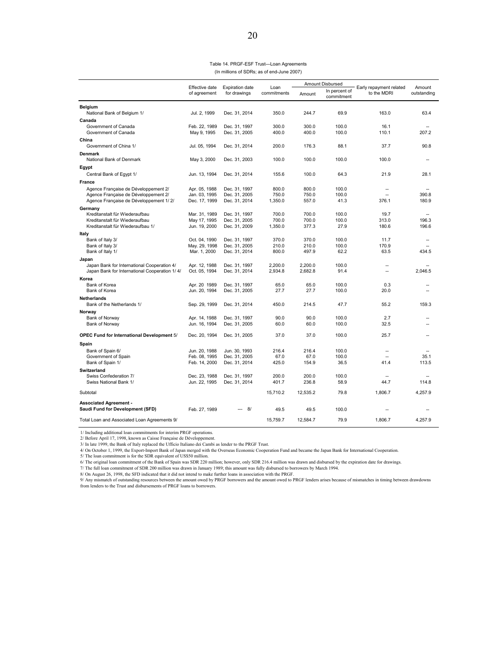| Table 14. PRGF-ESF Trust-Loan Agreements   |  |
|--------------------------------------------|--|
| (In millions of SDRs; as of end-June 2007) |  |

|                                                   |                                |                                        |                     |              | Amount Disbursed            |                                        |                       |
|---------------------------------------------------|--------------------------------|----------------------------------------|---------------------|--------------|-----------------------------|----------------------------------------|-----------------------|
|                                                   | Effective date<br>of agreement | <b>Expiration date</b><br>for drawings | Loan<br>commitments | Amount       | In percent of<br>commitment | Early repayment related<br>to the MDRI | Amount<br>outstanding |
| <b>Belgium</b>                                    |                                |                                        |                     |              |                             |                                        |                       |
| National Bank of Belgium 1/                       | Jul. 2, 1999                   | Dec. 31, 2014                          | 350.0               | 244.7        | 69.9                        | 163.0                                  | 63.4                  |
| Canada                                            |                                |                                        |                     |              |                             |                                        |                       |
| Government of Canada                              | Feb. 22, 1989                  | Dec. 31, 1997                          | 300.0               | 300.0        | 100.0                       | 16.1                                   |                       |
| Government of Canada                              | May 9, 1995                    | Dec. 31, 2005                          | 400.0               | 400.0        | 100.0                       | 110.1                                  | 207.2                 |
| China                                             |                                |                                        |                     |              |                             |                                        |                       |
| Government of China 1/                            | Jul. 05, 1994                  | Dec. 31, 2014                          | 200.0               | 176.3        | 88.1                        | 37.7                                   | 90.8                  |
| Denmark                                           |                                |                                        |                     |              |                             |                                        |                       |
| National Bank of Denmark                          | May 3, 2000                    | Dec. 31, 2003                          | 100.0               | 100.0        | 100.0                       | 100.0                                  |                       |
| Egypt                                             |                                |                                        |                     |              |                             |                                        |                       |
| Central Bank of Egypt 1/                          | Jun. 13, 1994                  | Dec. 31, 2014                          | 155.6               | 100.0        | 64.3                        | 21.9                                   | 28.1                  |
| <b>France</b>                                     |                                |                                        |                     |              |                             |                                        |                       |
| Agence Française de Développement 2/              | Apr. 05, 1988                  | Dec. 31, 1997                          | 800.0               | 800.0        | 100.0                       |                                        |                       |
| Agence Française de Développement 2/              | Jan. 03, 1995                  | Dec. 31, 2005                          | 750.0               | 750.0        | 100.0                       |                                        | 390.8                 |
| Agence Française de Développement 1/2/            | Dec. 17, 1999                  | Dec. 31, 2014                          | 1,350.0             | 557.0        | 41.3                        | 376.1                                  | 180.9                 |
| Germany                                           |                                |                                        |                     |              |                             |                                        |                       |
| Kreditanstalt für Wiederaufbau                    | Mar. 31, 1989                  | Dec. 31, 1997                          | 700.0               | 700.0        | 100.0                       | 19.7                                   | $\overline{a}$        |
| Kreditanstalt für Wiederaufbau                    | May 17, 1995                   | Dec. 31, 2005                          | 700.0               | 700.0        | 100.0                       | 313.0                                  | 196.3                 |
| Kreditanstalt für Wiederaufbau 1/                 | Jun. 19, 2000                  | Dec. 31, 2009                          | 1,350.0             | 377.3        | 27.9                        | 180.6                                  | 196.6                 |
| Italy                                             |                                |                                        |                     |              |                             |                                        |                       |
| Bank of Italy 3/                                  | Oct. 04, 1990                  | Dec. 31, 1997                          | 370.0               | 370.0        | 100.0                       | 11.7                                   | $\overline{a}$        |
| Bank of Italy 3/                                  | May. 29, 1998                  | Dec. 31, 2005                          | 210.0               | 210.0        | 100.0                       | 170.9                                  | ä.                    |
| Bank of Italy 1/                                  | Mar. 1, 2000                   | Dec. 31, 2014                          | 800.0               | 497.9        | 62.2                        | 63.5                                   | 434.5                 |
| Japan                                             |                                |                                        |                     |              |                             |                                        |                       |
| Japan Bank for International Cooperation 4/       | Apr. 12, 1988                  | Dec. 31, 1997                          | 2.200.0             | 2,200.0      | 100.0                       | Ξ.                                     |                       |
| Japan Bank for International Cooperation 1/4/     | Oct. 05, 1994                  | Dec. 31, 2014                          | 2,934.8             | 2,682.8      | 91.4                        |                                        | 2.046.5               |
| Korea                                             |                                |                                        |                     |              |                             |                                        |                       |
| Bank of Korea<br>Bank of Korea                    | Apr. 20 1989<br>Jun. 20, 1994  | Dec. 31, 1997<br>Dec. 31, 2005         | 65.0<br>27.7        | 65.0<br>27.7 | 100.0<br>100.0              | 0.3<br>20.0                            |                       |
|                                                   |                                |                                        |                     |              |                             |                                        |                       |
| <b>Netherlands</b>                                |                                |                                        | 450.0               | 214.5        | 47.7                        | 55.2                                   | 159.3                 |
| Bank of the Netherlands 1/                        | Sep. 29, 1999                  | Dec. 31, 2014                          |                     |              |                             |                                        |                       |
| Norway                                            |                                |                                        | 90.0                | 90.0         | 100.0                       | 2.7                                    |                       |
| Bank of Norway<br>Bank of Norway                  | Apr. 14, 1988<br>Jun. 16, 1994 | Dec. 31, 1997<br>Dec. 31, 2005         | 60.0                | 60.0         | 100.0                       | 32.5                                   |                       |
|                                                   |                                |                                        |                     |              |                             |                                        |                       |
| <b>OPEC Fund for International Development 5/</b> | Dec. 20, 1994                  | Dec. 31, 2005                          | 37.0                | 37.0         | 100.0                       | 25.7                                   |                       |
| Spain                                             |                                |                                        |                     |              |                             |                                        |                       |
| Bank of Spain 6/                                  | Jun. 20, 1988                  | Jun. 30, 1993                          | 216.4               | 216.4        | 100.0                       | ٠.                                     |                       |
| Government of Spain                               | Feb. 08, 1995                  | Dec. 31, 2005                          | 67.0                | 67.0         | 100.0                       | L.                                     | 35.1                  |
| Bank of Spain 1/                                  | Feb. 14, 2000                  | Dec. 31, 2014                          | 425.0               | 154.9        | 36.5                        | 41.4                                   | 113.5                 |
| Switzerland                                       |                                |                                        |                     |              |                             |                                        |                       |
| Swiss Confederation 7/                            | Dec. 23, 1988                  | Dec. 31, 1997                          | 200.0               | 200.0        | 100.0                       |                                        |                       |
| Swiss National Bank 1/                            | Jun. 22, 1995                  | Dec. 31, 2014                          | 401.7               | 236.8        | 58.9                        | 44.7                                   | 114.8                 |
|                                                   |                                |                                        |                     |              |                             |                                        |                       |
| Subtotal                                          |                                |                                        | 15,710.2            | 12,535.2     | 79.8                        | 1,806.7                                | 4,257.9               |
| <b>Associated Agreement -</b>                     |                                |                                        |                     |              |                             |                                        |                       |
| Saudi Fund for Development (SFD)                  | Feb. 27, 1989                  | 8/<br>$\overline{a}$                   | 49.5                | 49.5         | 100.0                       |                                        |                       |
| Total Loan and Associated Loan Agreements 9/      |                                |                                        | 15,759.7            | 12,584.7     | 79.9                        | 1,806.7                                | 4,257.9               |
|                                                   |                                |                                        |                     |              |                             |                                        |                       |

1/ Including additional loan commitments for interim PRGF operations.

2/ Before April 17, 1998, known as Caisse Française de Développement.

3/ In late 1999, the Bank of Italy replaced the Ufficio Italiano dei Cambi as lender to the PRGF Trust.

4/ On October 1, 1999, the Export-Import Bank of Japan merged with the Overseas Economic Cooperation Fund and became the Japan Bank for International Cooperation.<br>5/ The loan commitment is for the SDR equivalent of US\$50 m

7/ The full loan commitment of SDR 200 million was drawn in January 1989; this amount was fully disbursed to borrowers by March 1994.<br>8/ On August 26, 1998, the SFD indicated that it did not intend to make further loans in from lenders to the Trust and disbursements of PRGF loans to borrowers.